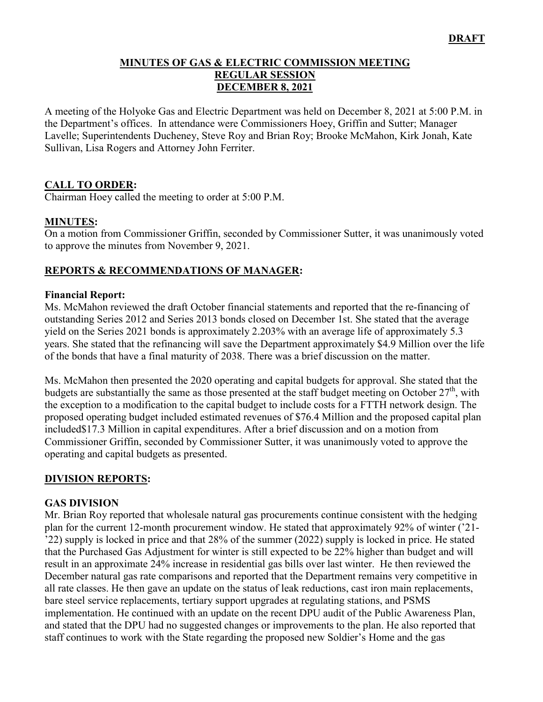#### **MINUTES OF GAS & ELECTRIC COMMISSION MEETING REGULAR SESSION DECEMBER 8, 2021**

A meeting of the Holyoke Gas and Electric Department was held on December 8, 2021 at 5:00 P.M. in the Department's offices. In attendance were Commissioners Hoey, Griffin and Sutter; Manager Lavelle; Superintendents Ducheney, Steve Roy and Brian Roy; Brooke McMahon, Kirk Jonah, Kate Sullivan, Lisa Rogers and Attorney John Ferriter.

### **CALL TO ORDER:**

Chairman Hoey called the meeting to order at 5:00 P.M.

#### **MINUTES:**

On a motion from Commissioner Griffin, seconded by Commissioner Sutter, it was unanimously voted to approve the minutes from November 9, 2021.

### **REPORTS & RECOMMENDATIONS OF MANAGER:**

#### **Financial Report:**

Ms. McMahon reviewed the draft October financial statements and reported that the re-financing of outstanding Series 2012 and Series 2013 bonds closed on December 1st. She stated that the average yield on the Series 2021 bonds is approximately 2.203% with an average life of approximately 5.3 years. She stated that the refinancing will save the Department approximately \$4.9 Million over the life of the bonds that have a final maturity of 2038. There was a brief discussion on the matter.

Ms. McMahon then presented the 2020 operating and capital budgets for approval. She stated that the budgets are substantially the same as those presented at the staff budget meeting on October  $27<sup>th</sup>$ , with the exception to a modification to the capital budget to include costs for a FTTH network design. The proposed operating budget included estimated revenues of \$76.4 Million and the proposed capital plan included\$17.3 Million in capital expenditures. After a brief discussion and on a motion from Commissioner Griffin, seconded by Commissioner Sutter, it was unanimously voted to approve the operating and capital budgets as presented.

#### **DIVISION REPORTS:**

#### **GAS DIVISION**

Mr. Brian Roy reported that wholesale natural gas procurements continue consistent with the hedging plan for the current 12-month procurement window. He stated that approximately 92% of winter ('21- '22) supply is locked in price and that 28% of the summer (2022) supply is locked in price. He stated that the Purchased Gas Adjustment for winter is still expected to be 22% higher than budget and will result in an approximate 24% increase in residential gas bills over last winter. He then reviewed the December natural gas rate comparisons and reported that the Department remains very competitive in all rate classes. He then gave an update on the status of leak reductions, cast iron main replacements, bare steel service replacements, tertiary support upgrades at regulating stations, and PSMS implementation. He continued with an update on the recent DPU audit of the Public Awareness Plan, and stated that the DPU had no suggested changes or improvements to the plan. He also reported that staff continues to work with the State regarding the proposed new Soldier's Home and the gas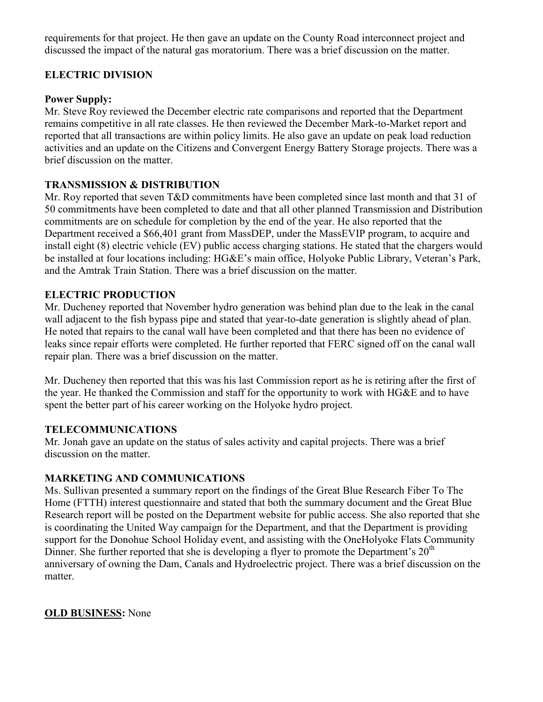requirements for that project. He then gave an update on the County Road interconnect project and discussed the impact of the natural gas moratorium. There was a brief discussion on the matter.

### **ELECTRIC DIVISION**

#### **Power Supply:**

Mr. Steve Roy reviewed the December electric rate comparisons and reported that the Department remains competitive in all rate classes. He then reviewed the December Mark-to-Market report and reported that all transactions are within policy limits. He also gave an update on peak load reduction activities and an update on the Citizens and Convergent Energy Battery Storage projects. There was a brief discussion on the matter.

### **TRANSMISSION & DISTRIBUTION**

Mr. Roy reported that seven T&D commitments have been completed since last month and that 31 of 50 commitments have been completed to date and that all other planned Transmission and Distribution commitments are on schedule for completion by the end of the year. He also reported that the Department received a \$66,401 grant from MassDEP, under the MassEVIP program, to acquire and install eight (8) electric vehicle (EV) public access charging stations. He stated that the chargers would be installed at four locations including: HG&E's main office, Holyoke Public Library, Veteran's Park, and the Amtrak Train Station. There was a brief discussion on the matter.

#### **ELECTRIC PRODUCTION**

Mr. Ducheney reported that November hydro generation was behind plan due to the leak in the canal wall adjacent to the fish bypass pipe and stated that year-to-date generation is slightly ahead of plan. He noted that repairs to the canal wall have been completed and that there has been no evidence of leaks since repair efforts were completed. He further reported that FERC signed off on the canal wall repair plan. There was a brief discussion on the matter.

Mr. Ducheney then reported that this was his last Commission report as he is retiring after the first of the year. He thanked the Commission and staff for the opportunity to work with HG&E and to have spent the better part of his career working on the Holyoke hydro project.

#### **TELECOMMUNICATIONS**

Mr. Jonah gave an update on the status of sales activity and capital projects. There was a brief discussion on the matter.

#### **MARKETING AND COMMUNICATIONS**

Ms. Sullivan presented a summary report on the findings of the Great Blue Research Fiber To The Home (FTTH) interest questionnaire and stated that both the summary document and the Great Blue Research report will be posted on the Department website for public access. She also reported that she is coordinating the United Way campaign for the Department, and that the Department is providing support for the Donohue School Holiday event, and assisting with the OneHolyoke Flats Community Dinner. She further reported that she is developing a flyer to promote the Department's  $20<sup>th</sup>$ anniversary of owning the Dam, Canals and Hydroelectric project. There was a brief discussion on the matter.

#### **OLD BUSINESS:** None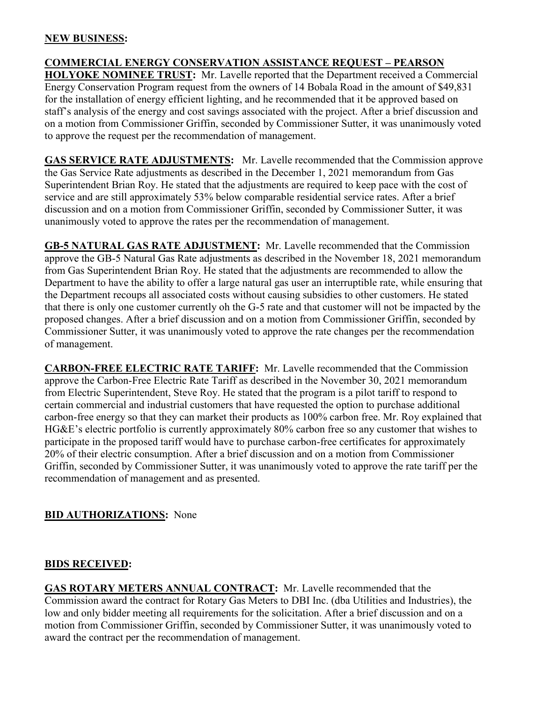#### **NEW BUSINESS:**

## **COMMERCIAL ENERGY CONSERVATION ASSISTANCE REQUEST – PEARSON**

**HOLYOKE NOMINEE TRUST:** Mr. Lavelle reported that the Department received a Commercial Energy Conservation Program request from the owners of 14 Bobala Road in the amount of \$49,831 for the installation of energy efficient lighting, and he recommended that it be approved based on staff's analysis of the energy and cost savings associated with the project. After a brief discussion and on a motion from Commissioner Griffin, seconded by Commissioner Sutter, it was unanimously voted to approve the request per the recommendation of management.

**GAS SERVICE RATE ADJUSTMENTS:** Mr. Lavelle recommended that the Commission approve the Gas Service Rate adjustments as described in the December 1, 2021 memorandum from Gas Superintendent Brian Roy. He stated that the adjustments are required to keep pace with the cost of service and are still approximately 53% below comparable residential service rates. After a brief discussion and on a motion from Commissioner Griffin, seconded by Commissioner Sutter, it was unanimously voted to approve the rates per the recommendation of management.

**GB-5 NATURAL GAS RATE ADJUSTMENT:** Mr. Lavelle recommended that the Commission approve the GB-5 Natural Gas Rate adjustments as described in the November 18, 2021 memorandum from Gas Superintendent Brian Roy. He stated that the adjustments are recommended to allow the Department to have the ability to offer a large natural gas user an interruptible rate, while ensuring that the Department recoups all associated costs without causing subsidies to other customers. He stated that there is only one customer currently oh the G-5 rate and that customer will not be impacted by the proposed changes. After a brief discussion and on a motion from Commissioner Griffin, seconded by Commissioner Sutter, it was unanimously voted to approve the rate changes per the recommendation of management.

**CARBON-FREE ELECTRIC RATE TARIFF:** Mr. Lavelle recommended that the Commission approve the Carbon-Free Electric Rate Tariff as described in the November 30, 2021 memorandum from Electric Superintendent, Steve Roy. He stated that the program is a pilot tariff to respond to certain commercial and industrial customers that have requested the option to purchase additional carbon-free energy so that they can market their products as 100% carbon free. Mr. Roy explained that HG&E's electric portfolio is currently approximately 80% carbon free so any customer that wishes to participate in the proposed tariff would have to purchase carbon-free certificates for approximately 20% of their electric consumption. After a brief discussion and on a motion from Commissioner Griffin, seconded by Commissioner Sutter, it was unanimously voted to approve the rate tariff per the recommendation of management and as presented.

#### **BID AUTHORIZATIONS:** None

#### **BIDS RECEIVED:**

**GAS ROTARY METERS ANNUAL CONTRACT:** Mr. Lavelle recommended that the Commission award the contract for Rotary Gas Meters to DBI Inc. (dba Utilities and Industries), the low and only bidder meeting all requirements for the solicitation. After a brief discussion and on a motion from Commissioner Griffin, seconded by Commissioner Sutter, it was unanimously voted to award the contract per the recommendation of management.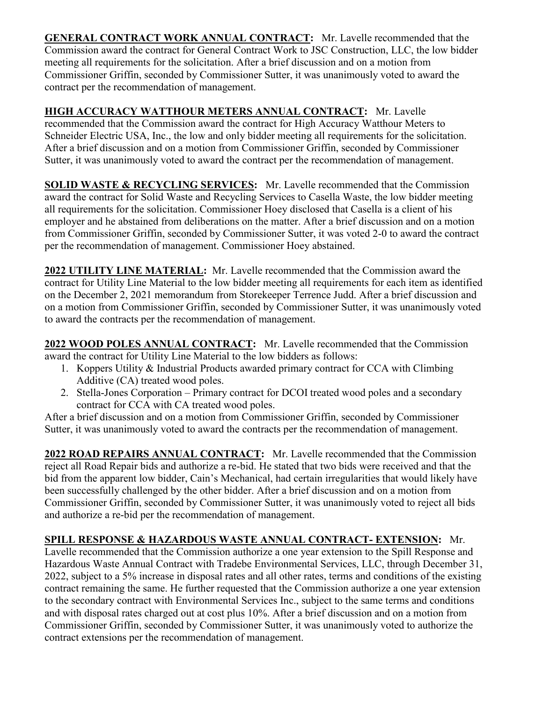**GENERAL CONTRACT WORK ANNUAL CONTRACT:** Mr. Lavelle recommended that the Commission award the contract for General Contract Work to JSC Construction, LLC, the low bidder meeting all requirements for the solicitation. After a brief discussion and on a motion from Commissioner Griffin, seconded by Commissioner Sutter, it was unanimously voted to award the contract per the recommendation of management.

**HIGH ACCURACY WATTHOUR METERS ANNUAL CONTRACT:** Mr. Lavelle recommended that the Commission award the contract for High Accuracy Watthour Meters to Schneider Electric USA, Inc., the low and only bidder meeting all requirements for the solicitation. After a brief discussion and on a motion from Commissioner Griffin, seconded by Commissioner Sutter, it was unanimously voted to award the contract per the recommendation of management.

**SOLID WASTE & RECYCLING SERVICES:** Mr. Lavelle recommended that the Commission award the contract for Solid Waste and Recycling Services to Casella Waste, the low bidder meeting all requirements for the solicitation. Commissioner Hoey disclosed that Casella is a client of his employer and he abstained from deliberations on the matter. After a brief discussion and on a motion from Commissioner Griffin, seconded by Commissioner Sutter, it was voted 2-0 to award the contract per the recommendation of management. Commissioner Hoey abstained.

**2022 UTILITY LINE MATERIAL:** Mr. Lavelle recommended that the Commission award the contract for Utility Line Material to the low bidder meeting all requirements for each item as identified on the December 2, 2021 memorandum from Storekeeper Terrence Judd. After a brief discussion and on a motion from Commissioner Griffin, seconded by Commissioner Sutter, it was unanimously voted to award the contracts per the recommendation of management.

**2022 WOOD POLES ANNUAL CONTRACT:** Mr. Lavelle recommended that the Commission award the contract for Utility Line Material to the low bidders as follows:

- 1. Koppers Utility & Industrial Products awarded primary contract for CCA with Climbing Additive (CA) treated wood poles.
- 2. Stella-Jones Corporation Primary contract for DCOI treated wood poles and a secondary contract for CCA with CA treated wood poles.

After a brief discussion and on a motion from Commissioner Griffin, seconded by Commissioner Sutter, it was unanimously voted to award the contracts per the recommendation of management.

**2022 ROAD REPAIRS ANNUAL CONTRACT:** Mr. Lavelle recommended that the Commission reject all Road Repair bids and authorize a re-bid. He stated that two bids were received and that the bid from the apparent low bidder, Cain's Mechanical, had certain irregularities that would likely have been successfully challenged by the other bidder. After a brief discussion and on a motion from Commissioner Griffin, seconded by Commissioner Sutter, it was unanimously voted to reject all bids and authorize a re-bid per the recommendation of management.

# **SPILL RESPONSE & HAZARDOUS WASTE ANNUAL CONTRACT- EXTENSION:** Mr.

Lavelle recommended that the Commission authorize a one year extension to the Spill Response and Hazardous Waste Annual Contract with Tradebe Environmental Services, LLC, through December 31, 2022, subject to a 5% increase in disposal rates and all other rates, terms and conditions of the existing contract remaining the same. He further requested that the Commission authorize a one year extension to the secondary contract with Environmental Services Inc., subject to the same terms and conditions and with disposal rates charged out at cost plus 10%. After a brief discussion and on a motion from Commissioner Griffin, seconded by Commissioner Sutter, it was unanimously voted to authorize the contract extensions per the recommendation of management.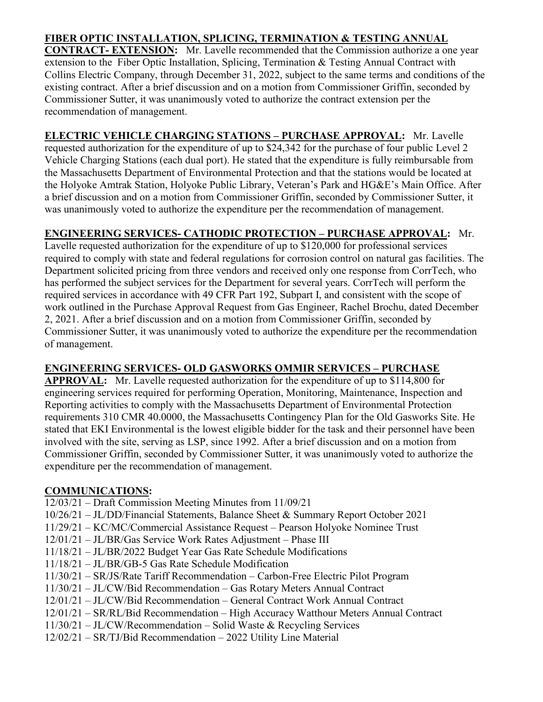## **FIBER OPTIC INSTALLATION, SPLICING, TERMINATION & TESTING ANNUAL**

**CONTRACT- EXTENSION:** Mr. Lavelle recommended that the Commission authorize a one year extension to the Fiber Optic Installation, Splicing, Termination & Testing Annual Contract with Collins Electric Company, through December 31, 2022, subject to the same terms and conditions of the existing contract. After a brief discussion and on a motion from Commissioner Griffin, seconded by Commissioner Sutter, it was unanimously voted to authorize the contract extension per the recommendation of management.

**ELECTRIC VEHICLE CHARGING STATIONS – PURCHASE APPROVAL:** Mr. Lavelle requested authorization for the expenditure of up to \$24,342 for the purchase of four public Level 2 Vehicle Charging Stations (each dual port). He stated that the expenditure is fully reimbursable from the Massachusetts Department of Environmental Protection and that the stations would be located at the Holyoke Amtrak Station, Holyoke Public Library, Veteran's Park and HG&E's Main Office. After a brief discussion and on a motion from Commissioner Griffin, seconded by Commissioner Sutter, it was unanimously voted to authorize the expenditure per the recommendation of management.

## **ENGINEERING SERVICES- CATHODIC PROTECTION – PURCHASE APPROVAL:** Mr.

Lavelle requested authorization for the expenditure of up to \$120,000 for professional services required to comply with state and federal regulations for corrosion control on natural gas facilities. The Department solicited pricing from three vendors and received only one response from CorrTech, who has performed the subject services for the Department for several years. CorrTech will perform the required services in accordance with 49 CFR Part 192, Subpart I, and consistent with the scope of work outlined in the Purchase Approval Request from Gas Engineer, Rachel Brochu, dated December 2, 2021. After a brief discussion and on a motion from Commissioner Griffin, seconded by Commissioner Sutter, it was unanimously voted to authorize the expenditure per the recommendation of management.

## **ENGINEERING SERVICES- OLD GASWORKS OMMIR SERVICES – PURCHASE**

**APPROVAL:** Mr. Lavelle requested authorization for the expenditure of up to \$114,800 for engineering services required for performing Operation, Monitoring, Maintenance, Inspection and Reporting activities to comply with the Massachusetts Department of Environmental Protection requirements 310 CMR 40.0000, the Massachusetts Contingency Plan for the Old Gasworks Site. He stated that EKI Environmental is the lowest eligible bidder for the task and their personnel have been involved with the site, serving as LSP, since 1992. After a brief discussion and on a motion from Commissioner Griffin, seconded by Commissioner Sutter, it was unanimously voted to authorize the expenditure per the recommendation of management.

## **COMMUNICATIONS:**

- 12/03/21 Draft Commission Meeting Minutes from 11/09/21
- 10/26/21 JL/DD/Financial Statements, Balance Sheet & Summary Report October 2021
- 11/29/21 KC/MC/Commercial Assistance Request Pearson Holyoke Nominee Trust
- 12/01/21 JL/BR/Gas Service Work Rates Adjustment Phase III
- 11/18/21 JL/BR/2022 Budget Year Gas Rate Schedule Modifications
- 11/18/21 JL/BR/GB-5 Gas Rate Schedule Modification
- 11/30/21 SR/JS/Rate Tariff Recommendation Carbon-Free Electric Pilot Program
- 11/30/21 JL/CW/Bid Recommendation Gas Rotary Meters Annual Contract
- 12/01/21 JL/CW/Bid Recommendation General Contract Work Annual Contract
- 12/01/21 SR/RL/Bid Recommendation High Accuracy Watthour Meters Annual Contract
- 11/30/21 JL/CW/Recommendation Solid Waste & Recycling Services
- 12/02/21 SR/TJ/Bid Recommendation 2022 Utility Line Material